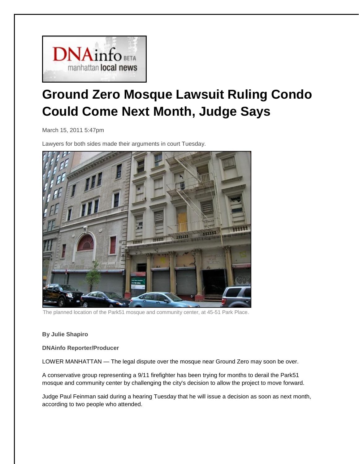

## **Ground Zero Mosque Lawsuit Ruling Condo Could Come Next Month, Judge Says**

March 15, 2011 5:47pm

Lawyers for both sides made their arguments in court Tuesday.



The planned location of the Park51 mosque and community center, at 45-51 Park Place.

## Read more[: http://gamma.dnainfo.com/20110315/downtown/ground-zero-mosque-lawsuit-ruling-](http://gamma.dnainfo.com/20110315/downtown/ground-zero-mosque-lawsuit-ruling-could-come-next-month-judge-says#ixzz1IC7KtIZ1)**By Julie Shapiro**

[could-come-next-month-judge-says#ixzz1IC7KtIZ1](http://gamma.dnainfo.com/20110315/downtown/ground-zero-mosque-lawsuit-ruling-could-come-next-month-judge-says#ixzz1IC7KtIZ1) **DNAinfo Reporter/Producer**

LOWER MANHATTAN — The legal dispute over the mosque near Ground Zero may soon be over.

A conservative group representing a 9/11 firefighter has been [trying for months](http://www.dnainfo.com/20110111/downtown/conservative-group-seeks-court-order-blocking-construction-of-park51-mosque) to derail the [Park51](http://dnainfo.com/things/park-51)  mosque and community center by challenging the city's decision to allow the project to move forward.

Judge Paul Feinman said during a hearing Tuesday that he will issue a decision as soon as next month, according to two people who attended.